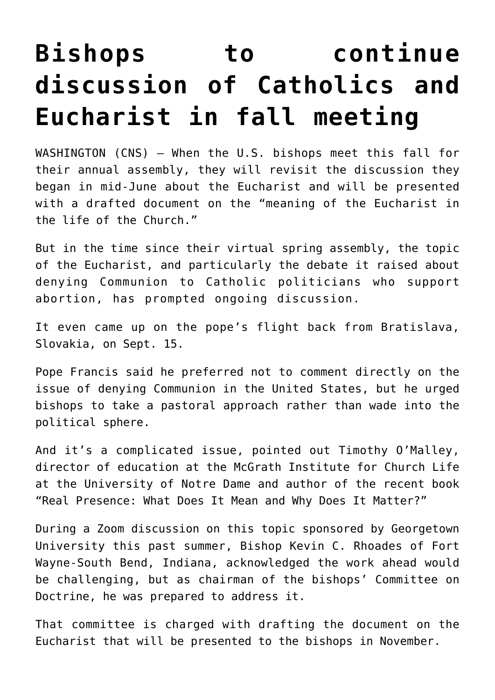## **[Bishops to continue](https://www.osvnews.com/2021/10/05/bishops-to-continue-discussion-of-catholics-and-eucharist-in-fall-meeting/) [discussion of Catholics and](https://www.osvnews.com/2021/10/05/bishops-to-continue-discussion-of-catholics-and-eucharist-in-fall-meeting/) [Eucharist in fall meeting](https://www.osvnews.com/2021/10/05/bishops-to-continue-discussion-of-catholics-and-eucharist-in-fall-meeting/)**

WASHINGTON (CNS) — When the U.S. bishops meet this fall for their annual assembly, they will revisit the discussion they began in mid-June about the Eucharist and will be presented with a drafted document on the "meaning of the Eucharist in the life of the Church."

But in the time since their virtual spring assembly, the topic of the Eucharist, and particularly the debate it raised about denying Communion to Catholic politicians who support abortion, has prompted ongoing discussion.

It even came up on the pope's flight back from Bratislava, Slovakia, on Sept. 15.

Pope Francis said he preferred not to comment directly on the issue of denying Communion in the United States, but he urged bishops to take a pastoral approach rather than wade into the political sphere.

And it's a complicated issue, pointed out Timothy O'Malley, director of education at the McGrath Institute for Church Life at the University of Notre Dame and author of the recent book "Real Presence: What Does It Mean and Why Does It Matter?"

During a Zoom discussion on this topic sponsored by Georgetown University this past summer, Bishop Kevin C. Rhoades of Fort Wayne-South Bend, Indiana, acknowledged the work ahead would be challenging, but as chairman of the bishops' Committee on Doctrine, he was prepared to address it.

That committee is charged with drafting the document on the Eucharist that will be presented to the bishops in November.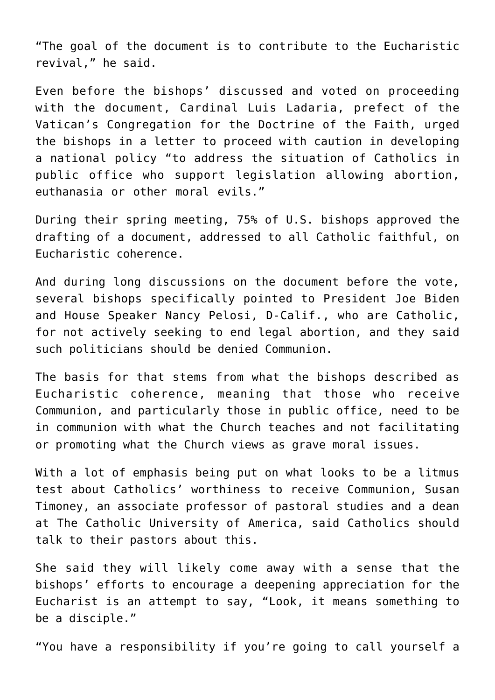"The goal of the document is to contribute to the Eucharistic revival," he said.

Even before the bishops' discussed and voted on proceeding with the document, Cardinal Luis Ladaria, prefect of the Vatican's Congregation for the Doctrine of the Faith, urged the bishops in a letter to proceed with caution in developing a national policy "to address the situation of Catholics in public office who support legislation allowing abortion, euthanasia or other moral evils."

During their spring meeting, 75% of U.S. bishops approved the drafting of a document, addressed to all Catholic faithful, on Eucharistic coherence.

And during long discussions on the document before the vote, several bishops specifically pointed to President Joe Biden and House Speaker Nancy Pelosi, D-Calif., who are Catholic, for not actively seeking to end legal abortion, and they said such politicians should be denied Communion.

The basis for that stems from what the bishops described as Eucharistic coherence, meaning that those who receive Communion, and particularly those in public office, need to be in communion with what the Church teaches and not facilitating or promoting what the Church views as grave moral issues.

With a lot of emphasis being put on what looks to be a litmus test about Catholics' worthiness to receive Communion, Susan Timoney, an associate professor of pastoral studies and a dean at The Catholic University of America, said Catholics should talk to their pastors about this.

She said they will likely come away with a sense that the bishops' efforts to encourage a deepening appreciation for the Eucharist is an attempt to say, "Look, it means something to be a disciple."

"You have a responsibility if you're going to call yourself a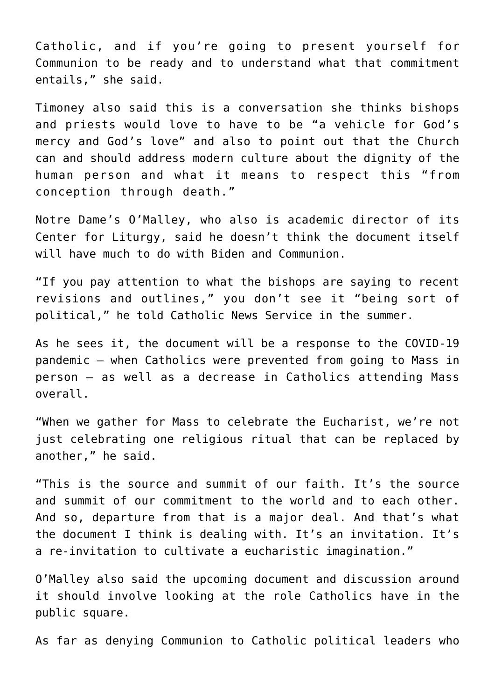Catholic, and if you're going to present yourself for Communion to be ready and to understand what that commitment entails," she said.

Timoney also said this is a conversation she thinks bishops and priests would love to have to be "a vehicle for God's mercy and God's love" and also to point out that the Church can and should address modern culture about the dignity of the human person and what it means to respect this "from conception through death."

Notre Dame's O'Malley, who also is academic director of its Center for Liturgy, said he doesn't think the document itself will have much to do with Biden and Communion.

"If you pay attention to what the bishops are saying to recent revisions and outlines," you don't see it "being sort of political," he told Catholic News Service in the summer.

As he sees it, the document will be a response to the COVID-19 pandemic — when Catholics were prevented from going to Mass in person — as well as a decrease in Catholics attending Mass overall.

"When we gather for Mass to celebrate the Eucharist, we're not just celebrating one religious ritual that can be replaced by another," he said.

"This is the source and summit of our faith. It's the source and summit of our commitment to the world and to each other. And so, departure from that is a major deal. And that's what the document I think is dealing with. It's an invitation. It's a re-invitation to cultivate a eucharistic imagination."

O'Malley also said the upcoming document and discussion around it should involve looking at the role Catholics have in the public square.

As far as denying Communion to Catholic political leaders who